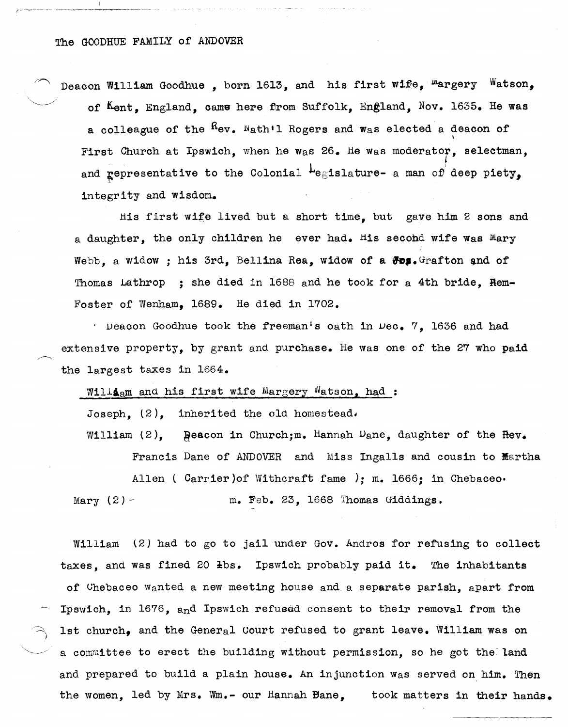## The GOODHUE FAMILY of ANDOVER

Deacon William Goodhue, born 1613, and his first wife,  ${}^{\text{m}}$ argery Watson, of Kent, England, came here from Suffolk, England, Nov. 1635. He was a colleague of the  $R_{ev}$ . Nath'l Rogers and was elected a deacon of \ First Church at Ipswich, when he was  $26.$  He was moderator, selectman, *t*  and **representative to the Colonial**  $L$ **egislature-** a man of deep piety, integrity and wisdom.

His first wife lived but a short time, but gave him 2 sons and a daughter, the only children he ever had. His secobd wife was Mary Webb, a widow; his 3rd, Bellina Rea, widow of a  $\theta$ os. Grafton and of Thomas Lathrop ; she died in 1688 and he took for a 4th bride, Rem-Foster of Wenham, 1689. He died in 1702.

. Deacon Goodhue took the freeman's oath in  $\mu$ ec. 7, 1636 and had extensive property, by grant and purchase. He was one of the 27 who paid the largest taxes in 1664.

William and his first wife Margery Watson, had:

Joseph,  $(2)$ , inherited the old homestead.

William  $(2)$ ,  $\beta$ eacon in Church; m. Hannah Dane, daughter of the Rev. Francis Dane of ANDOVER and Miss Ingalls and cousin to Martha Allen ( Carrier) of Withcraft fame ); m. 1666; in Chebaceo. Mary  $(2)$  - m. Feb. 23, 1668 Thomas Giddings.

William (2) had to go to jail under Gov. Andros for refusing to collect taxes, and was fined 20 lbs. Ipswich probably paid it. The inhabitants of Uhebaceo wanted a new meeting house and a separate parish, apart from Ipswich, in 1676, and Ipswich refused consent to their removal from the 1st church, and the General Court refused to grant leave. William was on a committee to erect the building without permission, so he got the land and prepared to build a plain house. An injunction was served on him. Then the women, led by Mrs. Wm.- our Hannah Bane, took matters in their hands.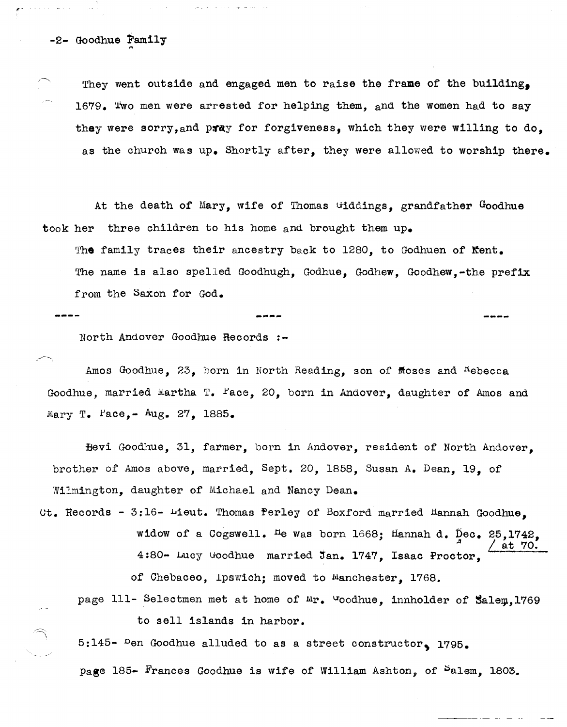-2- Goodhue Family

 $\Rightarrow$ \

They went outside and engaged men to raise the frame of the building. 1679. Two men were arrested for helping them, and the women had to say they were sorry, and pray for forgiveness, which they were willing to do, as the church was up. Shortly after, they were allowed to worship there.

At the death of Mary, wife of Thomas Giddings, grandfather Goodhue took her three children to his home and brought them up.

The family traces their ancestry back to 1280, to Godhuen of  $Kent.$ The name is also spelled Goodhugh, Godhue, Godhew, Goodhew,-the prefix from the Saxon for God.

**-.. .... -**

North Andover Goodhue Records :-

Amos Goodhue,  $23$ , born in North Reading, son of floses and Kebecca Goodhue, married Martha T. Pace, 20, born in Andover, daughter of Amos and Mary T. Pace,-  $Aug. 27$ , 1885.

Eevi Goodhue, 31, farmer, born in Andover, resident of North Andover, brother of Amos above, married, Sept. 20, 1858, Susan A. Dean, 19, of Wilmington, daughter of Michael and Nancy Dean.

 $Ut$ . Records - 3:16- Lieut. Thomas ferley of Boxford married Hannah Goodhue. widow of a Cogswell. <sup>H</sup>e was born 1668; Hannah d. Dec. 25,1742,  $\frac{1}{2}$  / at 70. 4:80- Lucy Goodhue married Jan. 1747, Isaac Proctor,

of Chebaceo, ipswich; moved to Manchester, 1768.

page 111- Selectmen met at home of Mr. Goodhue, innholder of Salem,1769 to sell islands in harbor.

5:145- Pen Goodhue alluded to as a street constructor, 1795.

page 185- Frances Goodhue is wife of William Ashton, of Palem, 1803.